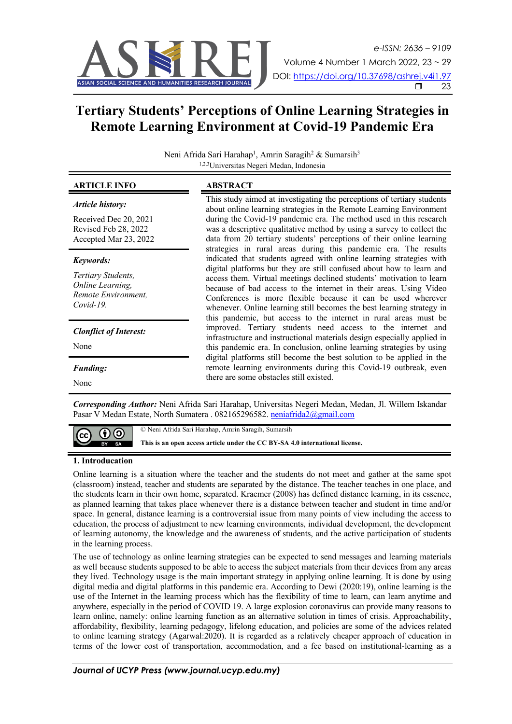

# **Tertiary Students' Perceptions of Online Learning Strategies in Remote Learning Environment at Covid-19 Pandemic Era**

Neni Afrida Sari Harahap<sup>1</sup>, Amrin Saragih<sup>2</sup> & Sumarsih<sup>3</sup> 1,2,3Universitas Negeri Medan, Indonesia

| <b>ARTICLE INFO</b>                                                           | ABSTRACT                                                                                                                                                                                                                                                                                                                                                                                                                       |
|-------------------------------------------------------------------------------|--------------------------------------------------------------------------------------------------------------------------------------------------------------------------------------------------------------------------------------------------------------------------------------------------------------------------------------------------------------------------------------------------------------------------------|
| Article history:                                                              | This study aimed at investigating the perceptions of tertiary students<br>about online learning strategies in the Remote Learning Environment                                                                                                                                                                                                                                                                                  |
| Received Dec 20, 2021<br>Revised Feb 28, 2022<br>Accepted Mar 23, 2022        | during the Covid-19 pandemic era. The method used in this research<br>was a descriptive qualitative method by using a survey to collect the<br>data from 20 tertiary students' perceptions of their online learning<br>strategies in rural areas during this pandemic era. The results                                                                                                                                         |
| Keywords:                                                                     | indicated that students agreed with online learning strategies with                                                                                                                                                                                                                                                                                                                                                            |
| Tertiary Students,<br>Online Learning,<br>Remote Environment,<br>$Covid-19$ . | digital platforms but they are still confused about how to learn and<br>access them. Virtual meetings declined students' motivation to learn<br>because of bad access to the internet in their areas. Using Video<br>Conferences is more flexible because it can be used wherever<br>whenever. Online learning still becomes the best learning strategy in<br>this pandemic, but access to the internet in rural areas must be |
| <b>Clonflict of Interest:</b>                                                 | improved. Tertiary students need access to the internet and<br>infrastructure and instructional materials design especially applied in                                                                                                                                                                                                                                                                                         |
| None                                                                          | this pandemic era. In conclusion, online learning strategies by using<br>digital platforms still become the best solution to be applied in the                                                                                                                                                                                                                                                                                 |
| <b>Funding:</b>                                                               | remote learning environments during this Covid-19 outbreak, even<br>there are some obstacles still existed.                                                                                                                                                                                                                                                                                                                    |
| None                                                                          |                                                                                                                                                                                                                                                                                                                                                                                                                                |

*Corresponding Author:* Neni Afrida Sari Harahap, Universitas Negeri Medan, Medan, Jl. Willem Iskandar Pasar V Medan Estate, North Sumatera . 082165296582. neniafrida2@gmail.com

© Neni Afrida Sari Harahap, Amrin Saragih, Sumarsih

**This is an open access article under the CC BY-SA 4.0 international license.**

## **1. Introducation**

(cc

(၂) (၁

Online learning is a situation where the teacher and the students do not meet and gather at the same spot (classroom) instead, teacher and students are separated by the distance. The teacher teaches in one place, and the students learn in their own home, separated. Kraemer (2008) has defined distance learning, in its essence, as planned learning that takes place whenever there is a distance between teacher and student in time and/or space. In general, distance learning is a controversial issue from many points of view including the access to education, the process of adjustment to new learning environments, individual development, the development of learning autonomy, the knowledge and the awareness of students, and the active participation of students in the learning process.

The use of technology as online learning strategies can be expected to send messages and learning materials as well because students supposed to be able to access the subject materials from their devices from any areas they lived. Technology usage is the main important strategy in applying online learning. It is done by using digital media and digital platforms in this pandemic era. According to Dewi (2020:19), online learning is the use of the Internet in the learning process which has the flexibility of time to learn, can learn anytime and anywhere, especially in the period of COVID 19. A large explosion coronavirus can provide many reasons to learn online, namely: online learning function as an alternative solution in times of crisis. Approachability, affordability, flexibility, learning pedagogy, lifelong education, and policies are some of the advices related to online learning strategy (Agarwal:2020). It is regarded as a relatively cheaper approach of education in terms of the lower cost of transportation, accommodation, and a fee based on institutional-learning as a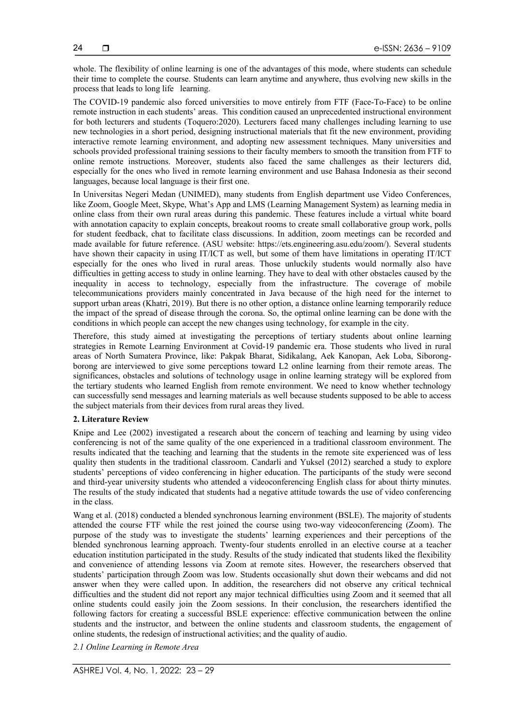whole. The flexibility of online learning is one of the advantages of this mode, where students can schedule their time to complete the course. Students can learn anytime and anywhere, thus evolving new skills in the process that leads to long life learning.

The COVID-19 pandemic also forced universities to move entirely from FTF (Face-To-Face) to be online remote instruction in each students' areas. This condition caused an unprecedented instructional environment for both lecturers and students (Toquero:2020). Lecturers faced many challenges including learning to use new technologies in a short period, designing instructional materials that fit the new environment, providing interactive remote learning environment, and adopting new assessment techniques. Many universities and schools provided professional training sessions to their faculty members to smooth the transition from FTF to online remote instructions. Moreover, students also faced the same challenges as their lecturers did, especially for the ones who lived in remote learning environment and use Bahasa Indonesia as their second languages, because local language is their first one.

In Universitas Negeri Medan (UNIMED), many students from English department use Video Conferences, like Zoom, Google Meet, Skype, What's App and LMS (Learning Management System) as learning media in online class from their own rural areas during this pandemic. These features include a virtual white board with annotation capacity to explain concepts, breakout rooms to create small collaborative group work, polls for student feedback, chat to facilitate class discussions. In addition, zoom meetings can be recorded and made available for future reference. (ASU website: https://ets.engineering.asu.edu/zoom/). Several students have shown their capacity in using IT/ICT as well, but some of them have limitations in operating IT/ICT especially for the ones who lived in rural areas. Those unluckily students would normally also have difficulties in getting access to study in online learning. They have to deal with other obstacles caused by the inequality in access to technology, especially from the infrastructure. The coverage of mobile telecommunications providers mainly concentrated in Java because of the high need for the internet to support urban areas (Khatri, 2019). But there is no other option, a distance online learning temporarily reduce the impact of the spread of disease through the corona. So, the optimal online learning can be done with the conditions in which people can accept the new changes using technology, for example in the city.

Therefore, this study aimed at investigating the perceptions of tertiary students about online learning strategies in Remote Learning Environment at Covid-19 pandemic era. Those students who lived in rural areas of North Sumatera Province, like: Pakpak Bharat, Sidikalang, Aek Kanopan, Aek Loba, Siborongborong are interviewed to give some perceptions toward L2 online learning from their remote areas. The significances, obstacles and solutions of technology usage in online learning strategy will be explored from the tertiary students who learned English from remote environment. We need to know whether technology can successfully send messages and learning materials as well because students supposed to be able to access the subject materials from their devices from rural areas they lived.

#### **2. Literature Review**

Knipe and Lee (2002) investigated a research about the concern of teaching and learning by using video conferencing is not of the same quality of the one experienced in a traditional classroom environment. The results indicated that the teaching and learning that the students in the remote site experienced was of less quality then students in the traditional classroom. Candarli and Yuksel (2012) searched a study to explore students' perceptions of video conferencing in higher education. The participants of the study were second and third-year university students who attended a videoconferencing English class for about thirty minutes. The results of the study indicated that students had a negative attitude towards the use of video conferencing in the class.

Wang et al. (2018) conducted a blended synchronous learning environment (BSLE). The majority of students attended the course FTF while the rest joined the course using two-way videoconferencing (Zoom). The purpose of the study was to investigate the students' learning experiences and their perceptions of the blended synchronous learning approach. Twenty-four students enrolled in an elective course at a teacher education institution participated in the study. Results of the study indicated that students liked the flexibility and convenience of attending lessons via Zoom at remote sites. However, the researchers observed that students' participation through Zoom was low. Students occasionally shut down their webcams and did not answer when they were called upon. In addition, the researchers did not observe any critical technical difficulties and the student did not report any major technical difficulties using Zoom and it seemed that all online students could easily join the Zoom sessions. In their conclusion, the researchers identified the following factors for creating a successful BSLE experience: effective communication between the online students and the instructor, and between the online students and classroom students, the engagement of online students, the redesign of instructional activities; and the quality of audio.

*2.1 Online Learning in Remote Area*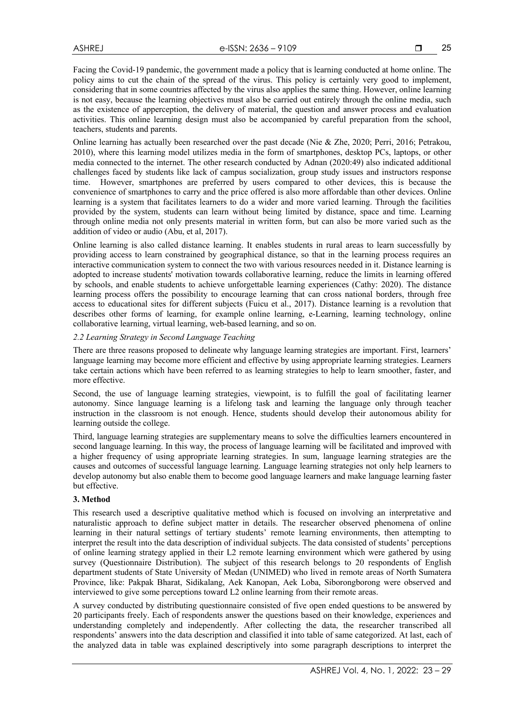25

Facing the Covid-19 pandemic, the government made a policy that is learning conducted at home online. The policy aims to cut the chain of the spread of the virus. This policy is certainly very good to implement, considering that in some countries affected by the virus also applies the same thing. However, online learning is not easy, because the learning objectives must also be carried out entirely through the online media, such as the existence of apperception, the delivery of material, the question and answer process and evaluation activities. This online learning design must also be accompanied by careful preparation from the school, teachers, students and parents.

Online learning has actually been researched over the past decade (Nie & Zhe, 2020; Perri, 2016; Petrakou, 2010), where this learning model utilizes media in the form of smartphones, desktop PCs, laptops, or other media connected to the internet. The other research conducted by Adnan (2020:49) also indicated additional challenges faced by students like lack of campus socialization, group study issues and instructors response time. However, smartphones are preferred by users compared to other devices, this is because the convenience of smartphones to carry and the price offered is also more affordable than other devices. Online learning is a system that facilitates learners to do a wider and more varied learning. Through the facilities provided by the system, students can learn without being limited by distance, space and time. Learning through online media not only presents material in written form, but can also be more varied such as the addition of video or audio (Abu, et al, 2017).

Online learning is also called distance learning. It enables students in rural areas to learn successfully by providing access to learn constrained by geographical distance, so that in the learning process requires an interactive communication system to connect the two with various resources needed in it. Distance learning is adopted to increase students' motivation towards collaborative learning, reduce the limits in learning offered by schools, and enable students to achieve unforgettable learning experiences (Cathy: 2020). The distance learning process offers the possibility to encourage learning that can cross national borders, through free access to educational sites for different subjects (Fuicu et al., 2017). Distance learning is a revolution that describes other forms of learning, for example online learning, e-Learning, learning technology, online collaborative learning, virtual learning, web-based learning, and so on.

# *2.2 Learning Strategy in Second Language Teaching*

There are three reasons proposed to delineate why language learning strategies are important. First, learners' language learning may become more efficient and effective by using appropriate learning strategies. Learners take certain actions which have been referred to as learning strategies to help to learn smoother, faster, and more effective.

Second, the use of language learning strategies, viewpoint, is to fulfill the goal of facilitating learner autonomy. Since language learning is a lifelong task and learning the language only through teacher instruction in the classroom is not enough. Hence, students should develop their autonomous ability for learning outside the college.

Third, language learning strategies are supplementary means to solve the difficulties learners encountered in second language learning. In this way, the process of language learning will be facilitated and improved with a higher frequency of using appropriate learning strategies. In sum, language learning strategies are the causes and outcomes of successful language learning. Language learning strategies not only help learners to develop autonomy but also enable them to become good language learners and make language learning faster but effective.

## **3. Method**

This research used a descriptive qualitative method which is focused on involving an interpretative and naturalistic approach to define subject matter in details. The researcher observed phenomena of online learning in their natural settings of tertiary students' remote learning environments, then attempting to interpret the result into the data description of individual subjects. The data consisted of students' perceptions of online learning strategy applied in their L2 remote learning environment which were gathered by using survey (Questionnaire Distribution). The subject of this research belongs to 20 respondents of English department students of State University of Medan (UNIMED) who lived in remote areas of North Sumatera Province, like: Pakpak Bharat, Sidikalang, Aek Kanopan, Aek Loba, Siborongborong were observed and interviewed to give some perceptions toward L2 online learning from their remote areas.

A survey conducted by distributing questionnaire consisted of five open ended questions to be answered by 20 participants freely. Each of respondents answer the questions based on their knowledge, experiences and understanding completely and independently. After collecting the data, the researcher transcribed all respondents' answers into the data description and classified it into table of same categorized. At last, each of the analyzed data in table was explained descriptively into some paragraph descriptions to interpret the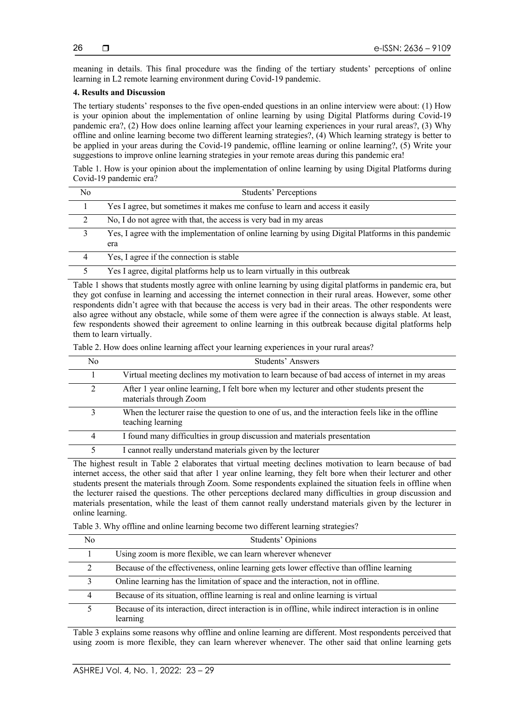26

meaning in details. This final procedure was the finding of the tertiary students' perceptions of online learning in L2 remote learning environment during Covid-19 pandemic.

# **4. Results and Discussion**

The tertiary students' responses to the five open-ended questions in an online interview were about: (1) How is your opinion about the implementation of online learning by using Digital Platforms during Covid-19 pandemic era?, (2) How does online learning affect your learning experiences in your rural areas?, (3) Why offline and online learning become two different learning strategies?, (4) Which learning strategy is better to be applied in your areas during the Covid-19 pandemic, offline learning or online learning?, (5) Write your suggestions to improve online learning strategies in your remote areas during this pandemic era!

Table 1. How is your opinion about the implementation of online learning by using Digital Platforms during Covid-19 pandemic era?

| No | Students' Perceptions                                                                                      |
|----|------------------------------------------------------------------------------------------------------------|
|    | Yes I agree, but sometimes it makes me confuse to learn and access it easily                               |
|    | No, I do not agree with that, the access is very bad in my areas                                           |
| 3  | Yes, I agree with the implementation of online learning by using Digital Platforms in this pandemic<br>era |
| 4  | Yes, I agree if the connection is stable                                                                   |
|    | Yes I agree, digital platforms help us to learn virtually in this outbreak                                 |

Table 1 shows that students mostly agree with online learning by using digital platforms in pandemic era, but they got confuse in learning and accessing the internet connection in their rural areas. However, some other respondents didn't agree with that because the access is very bad in their areas. The other respondents were also agree without any obstacle, while some of them were agree if the connection is always stable. At least, few respondents showed their agreement to online learning in this outbreak because digital platforms help them to learn virtually.

Table 2. How does online learning affect your learning experiences in your rural areas?

| No             | Students' Answers                                                                                                     |
|----------------|-----------------------------------------------------------------------------------------------------------------------|
|                | Virtual meeting declines my motivation to learn because of bad access of internet in my areas                         |
| $\mathfrak{D}$ | After 1 year online learning, I felt bore when my lecturer and other students present the<br>materials through Zoom   |
| 3              | When the lecturer raise the question to one of us, and the interaction feels like in the offline<br>teaching learning |
| 4              | I found many difficulties in group discussion and materials presentation                                              |
| 5              | I cannot really understand materials given by the lecturer                                                            |

The highest result in Table 2 elaborates that virtual meeting declines motivation to learn because of bad internet access, the other said that after 1 year online learning, they felt bore when their lecturer and other students present the materials through Zoom. Some respondents explained the situation feels in offline when the lecturer raised the questions. The other perceptions declared many difficulties in group discussion and materials presentation, while the least of them cannot really understand materials given by the lecturer in online learning.

Table 3. Why offline and online learning become two different learning strategies?

| No. | Students' Opinions                                                                                                |
|-----|-------------------------------------------------------------------------------------------------------------------|
|     | Using zoom is more flexible, we can learn wherever whenever                                                       |
| 2   | Because of the effectiveness, online learning gets lower effective than offline learning                          |
| 3   | Online learning has the limitation of space and the interaction, not in offline.                                  |
| 4   | Because of its situation, offline learning is real and online learning is virtual                                 |
|     | Because of its interaction, direct interaction is in offline, while indirect interaction is in online<br>learning |

Table 3 explains some reasons why offline and online learning are different. Most respondents perceived that using zoom is more flexible, they can learn wherever whenever. The other said that online learning gets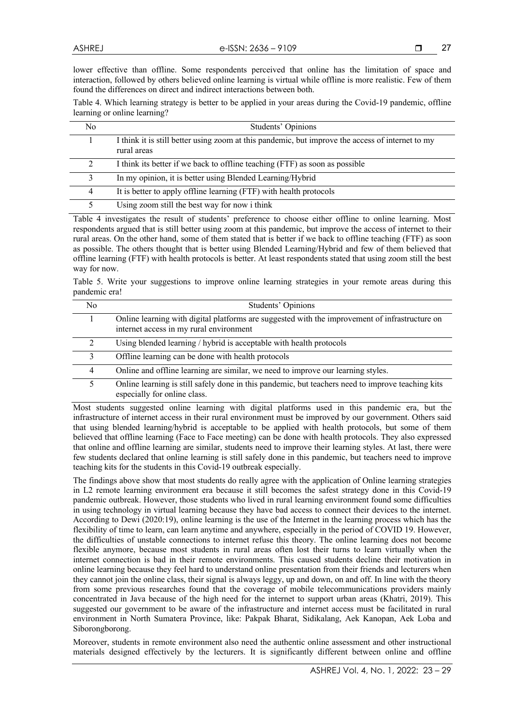lower effective than offline. Some respondents perceived that online has the limitation of space and interaction, followed by others believed online learning is virtual while offline is more realistic. Few of them found the differences on direct and indirect interactions between both.

Table 4. Which learning strategy is better to be applied in your areas during the Covid-19 pandemic, offline learning or online learning?

| No. | Students' Opinions                                                                                              |
|-----|-----------------------------------------------------------------------------------------------------------------|
|     | I think it is still better using zoom at this pandemic, but improve the access of internet to my<br>rural areas |
|     | I think its better if we back to offline teaching (FTF) as soon as possible                                     |
|     | In my opinion, it is better using Blended Learning/Hybrid                                                       |
| 4   | It is better to apply offline learning (FTF) with health protocols                                              |
|     | Using zoom still the best way for now i think                                                                   |

Table 4 investigates the result of students' preference to choose either offline to online learning. Most respondents argued that is still better using zoom at this pandemic, but improve the access of internet to their rural areas. On the other hand, some of them stated that is better if we back to offline teaching (FTF) as soon as possible. The others thought that is better using Blended Learning/Hybrid and few of them believed that offline learning (FTF) with health protocols is better. At least respondents stated that using zoom still the best way for now.

Table 5. Write your suggestions to improve online learning strategies in your remote areas during this pandemic era!

| No.           | Students' Opinions                                                                                                                        |
|---------------|-------------------------------------------------------------------------------------------------------------------------------------------|
|               | Online learning with digital platforms are suggested with the improvement of infrastructure on<br>internet access in my rural environment |
| $\mathcal{D}$ | Using blended learning / hybrid is acceptable with health protocols                                                                       |
| $\mathcal{F}$ | Offline learning can be done with health protocols                                                                                        |
| 4             | Online and offline learning are similar, we need to improve our learning styles.                                                          |
|               | Online learning is still safely done in this pandemic, but teachers need to improve teaching kits<br>especially for online class.         |

Most students suggested online learning with digital platforms used in this pandemic era, but the infrastructure of internet access in their rural environment must be improved by our government. Others said that using blended learning/hybrid is acceptable to be applied with health protocols, but some of them believed that offline learning (Face to Face meeting) can be done with health protocols. They also expressed that online and offline learning are similar, students need to improve their learning styles. At last, there were few students declared that online learning is still safely done in this pandemic, but teachers need to improve teaching kits for the students in this Covid-19 outbreak especially.

The findings above show that most students do really agree with the application of Online learning strategies in L2 remote learning environment era because it still becomes the safest strategy done in this Covid-19 pandemic outbreak. However, those students who lived in rural learning environment found some difficulties in using technology in virtual learning because they have bad access to connect their devices to the internet. According to Dewi (2020:19), online learning is the use of the Internet in the learning process which has the flexibility of time to learn, can learn anytime and anywhere, especially in the period of COVID 19. However, the difficulties of unstable connections to internet refuse this theory. The online learning does not become flexible anymore, because most students in rural areas often lost their turns to learn virtually when the internet connection is bad in their remote environments. This caused students decline their motivation in online learning because they feel hard to understand online presentation from their friends and lecturers when they cannot join the online class, their signal is always leggy, up and down, on and off. In line with the theory from some previous researches found that the coverage of mobile telecommunications providers mainly concentrated in Java because of the high need for the internet to support urban areas (Khatri, 2019). This suggested our government to be aware of the infrastructure and internet access must be facilitated in rural environment in North Sumatera Province, like: Pakpak Bharat, Sidikalang, Aek Kanopan, Aek Loba and Siborongborong.

Moreover, students in remote environment also need the authentic online assessment and other instructional materials designed effectively by the lecturers. It is significantly different between online and offline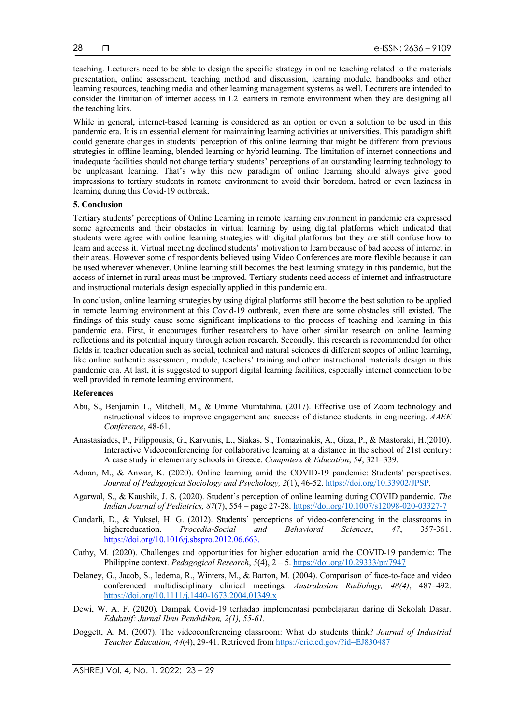teaching. Lecturers need to be able to design the specific strategy in online teaching related to the materials presentation, online assessment, teaching method and discussion, learning module, handbooks and other learning resources, teaching media and other learning management systems as well. Lecturers are intended to consider the limitation of internet access in L2 learners in remote environment when they are designing all the teaching kits.

While in general, internet-based learning is considered as an option or even a solution to be used in this pandemic era. It is an essential element for maintaining learning activities at universities. This paradigm shift could generate changes in students' perception of this online learning that might be different from previous strategies in offline learning, blended learning or hybrid learning. The limitation of internet connections and inadequate facilities should not change tertiary students' perceptions of an outstanding learning technology to be unpleasant learning. That's why this new paradigm of online learning should always give good impressions to tertiary students in remote environment to avoid their boredom, hatred or even laziness in learning during this Covid-19 outbreak.

#### **5. Conclusion**

Tertiary students' perceptions of Online Learning in remote learning environment in pandemic era expressed some agreements and their obstacles in virtual learning by using digital platforms which indicated that students were agree with online learning strategies with digital platforms but they are still confuse how to learn and access it. Virtual meeting declined students' motivation to learn because of bad access of internet in their areas. However some of respondents believed using Video Conferences are more flexible because it can be used wherever whenever. Online learning still becomes the best learning strategy in this pandemic, but the access of internet in rural areas must be improved. Tertiary students need access of internet and infrastructure and instructional materials design especially applied in this pandemic era.

In conclusion, online learning strategies by using digital platforms still become the best solution to be applied in remote learning environment at this Covid-19 outbreak, even there are some obstacles still existed. The findings of this study cause some significant implications to the process of teaching and learning in this pandemic era. First, it encourages further researchers to have other similar research on online learning reflections and its potential inquiry through action research. Secondly, this research is recommended for other fields in teacher education such as social, technical and natural sciences di different scopes of online learning, like online authentic assessment, module, teachers' training and other instructional materials design in this pandemic era. At last, it is suggested to support digital learning facilities, especially internet connection to be well provided in remote learning environment.

#### **References**

- Abu, S., Benjamin T., Mitchell, M., & Umme Mumtahina. (2017). Effective use of Zoom technology and nstructional videos to improve engagement and success of distance students in engineering. *AAEE Conference*, 48-61.
- Anastasiades, P., Filippousis, G., Karvunis, L., Siakas, S., Tomazinakis, A., Giza, P., & Mastoraki, H.(2010). Interactive Videoconferencing for collaborative learning at a distance in the school of 21st century: A case study in elementary schools in Greece. *Computers & Education*, *54*, 321–339.
- Adnan, M., & Anwar, K. (2020). Online learning amid the COVID-19 pandemic: Students' perspectives. *Journal of Pedagogical Sociology and Psychology, 2*(1), 46-52. https://doi.org/10.33902/JPSP.
- Agarwal, S., & Kaushik, J. S. (2020). Student's perception of online learning during COVID pandemic. *The Indian Journal of Pediatrics, 87*(7), 554 – page 27-28. https://doi.org/10.1007/s12098-020-03327-7
- Candarli, D., & Yuksel, H. G. (2012). Students' perceptions of video-conferencing in the classrooms in highereducation. *Procedia-Social and Behavioral Sciences*, *47*, 357-361. https://doi.org/10.1016/j.sbspro.2012.06.663.
- Cathy, M. (2020). Challenges and opportunities for higher education amid the COVID-19 pandemic: The Philippine context. *Pedagogical Research*, *5*(4), 2 – 5. https://doi.org/10.29333/pr/7947
- Delaney, G., Jacob, S., Iedema, R., Winters, M., & Barton, M. (2004). Comparison of face-to-face and video conferenced multidisciplinary clinical meetings. *Australasian Radiology, 48(4)*, 487–492. https://doi.org/10.1111/j.1440-1673.2004.01349.x
- Dewi, W. A. F. (2020). Dampak Covid-19 terhadap implementasi pembelajaran daring di Sekolah Dasar. *Edukatif: Jurnal Ilmu Pendidikan, 2(1), 55-61.*
- Doggett, A. M. (2007). The videoconferencing classroom: What do students think? *Journal of Industrial Teacher Education, 44*(4), 29-41. Retrieved from https://eric.ed.gov/?id=EJ830487